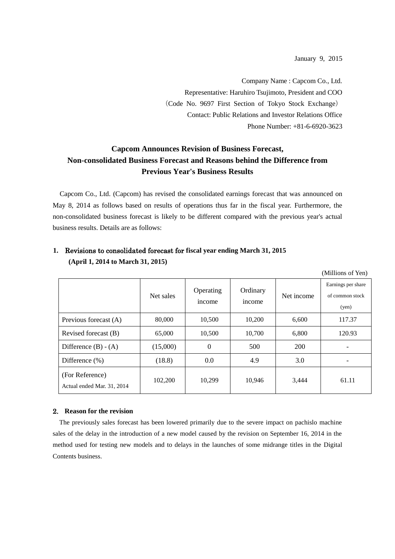January 9, 2015

Company Name : Capcom Co., Ltd. Representative: Haruhiro Tsujimoto, President and COO (Code No. 9697 First Section of Tokyo Stock Exchange) Contact: Public Relations and Investor Relations Office Phone Number: +81-6-6920-3623

# **Capcom Announces Revision of Business Forecast, Non-consolidated Business Forecast and Reasons behind the Difference from Previous Year's Business Results**

Capcom Co., Ltd. (Capcom) has revised the consolidated earnings forecast that was announced on May 8, 2014 as follows based on results of operations thus far in the fiscal year. Furthermore, the non-consolidated business forecast is likely to be different compared with the previous year's actual business results. Details are as follows:

### **1.** Revisions to consolidated forecast for **fiscal year ending March 31, 2015 (April 1, 2014 to March 31, 2015)**

|                                               |           |                     |                    |            | (Millions of Yen)                              |
|-----------------------------------------------|-----------|---------------------|--------------------|------------|------------------------------------------------|
|                                               | Net sales | Operating<br>income | Ordinary<br>income | Net income | Earnings per share<br>of common stock<br>(yen) |
| Previous forecast (A)                         | 80,000    | 10,500              | 10,200             | 6,600      | 117.37                                         |
| Revised forecast (B)                          | 65,000    | 10,500              | 10,700             | 6,800      | 120.93                                         |
| Difference $(B) - (A)$                        | (15,000)  | 0                   | 500                | <b>200</b> |                                                |
| Difference $(\%)$                             | (18.8)    | 0.0                 | 4.9                | 3.0        |                                                |
| (For Reference)<br>Actual ended Mar. 31, 2014 | 102,200   | 10,299              | 10,946             | 3,444      | 61.11                                          |

### 2. **Reason for the revision**

The previously sales forecast has been lowered primarily due to the severe impact on pachislo machine sales of the delay in the introduction of a new model caused by the revision on September 16, 2014 in the method used for testing new models and to delays in the launches of some midrange titles in the Digital Contents business.